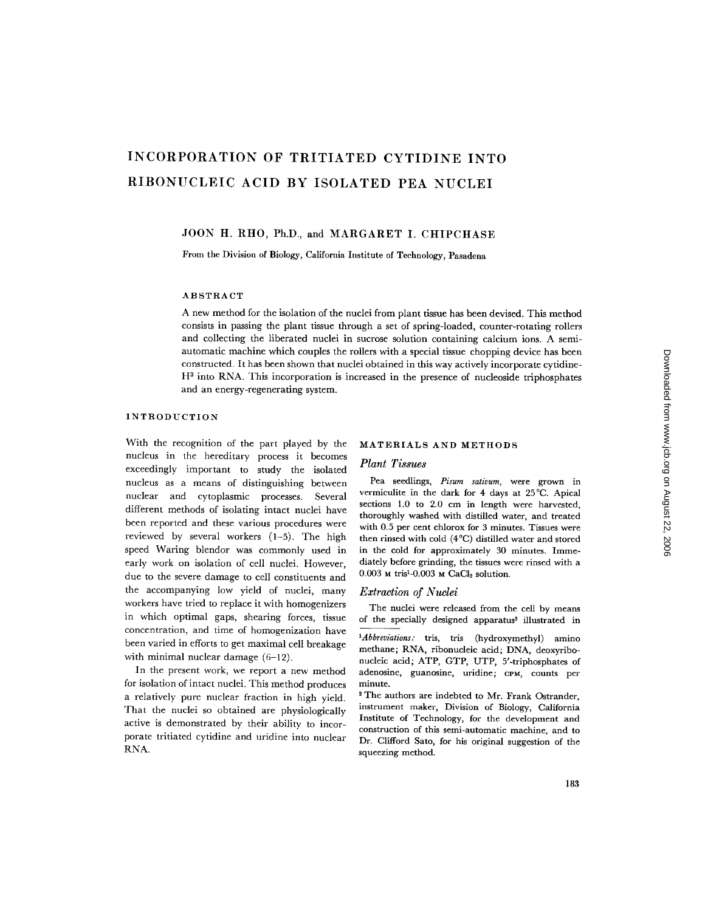# **INCORPORATION OF TRITIATED CYTIDINE INTO RIBONUCLEIC ACID BY ISOLATED PEA NUCLEI**

# JOON H. RHO, Ph.D., and MARGARET I. CHIPCHASE

From the Division of Biology, California Institute of Technology, Pasadena

#### ABSTRACT

A new method for the isolation of the nuclei from plant tissue has been devised. This method consists in passing the plant tissue through a set of spring-loaded, counter-rotating rollers and collecting the liberated nuclei in sucrose solution containing calcium ions. A semiautomatic machine which couples the rollers with a special tissue chopping device has been constructed. It has been shown that nuclei obtained in this way actively incorporate cytidine- $H<sup>3</sup>$  into RNA. This incorporation is increased in the presence of nucleoside triphosphates and an energy-regenerating system.

## INTRODUCTION

With the recognition of the part played by the nucleus in the hereditary process it becomes exceedingly important to study the isolated nucleus as a means of distinguishing between nuclear and cytoplasmic processes. Several different methods of isolating intact nuclei have been reported and these various procedures were reviewed by several workers (1-5). The high speed Waring blendor was commonly used in early work on isolation of cell nuclei. However, due to the severe damage to cell constituents and the accompanying low yield of nuclei, many workers have tried to replace it with homogenizers in which optimal gaps, shearing forces, tissue concentration, and time of homogenization have been varied in efforts to get maximal cell breakage with minimal nuclear damage (6-12).

In the present work, we report a new method for isolation of intact nuclei. This method produces a relatively pure nuclear fraction in high yield. That the nuclei so obtained are physiologically active is demonstrated by their ability to incorporate tritiated cytidine and uridine into nuclear RNA.

## MATERIALS AND METHODS

## *Plant Tissues*

Pea seedlings, *Pisurn sativum,* were grown in vermiculite in the dark for 4 days at 25°C. Apical sections 1.0 to 2.0 cm in length were harvested, thoroughly washed with distilled water, and treated with 0.5 per cent chlorox for 3 minutes. Tissues were then rinsed with cold (4°C) distilled water and stored in the cold for approximately 30 minutes. Immediately before grinding, the tissues were rinsed with a 0.003 M tris<sup>1</sup>-0.003 M  $CaCl<sub>2</sub>$  solution.

#### *Extraction of Nuclei*

The nuclei were released from the cell by means of the specially designed apparatus<sup>2</sup> illustrated in

- *1Abbreviations:* tris, tris (hydroxymethyl) amino methane; RNA, ribonucleic acid; DNA, deoxyribonucleic acid; ATP, GTP, UTP, 5'-triphosphates of adenosine, guanosine, uridine; cPM, counts per minute.
- <sup>2</sup> The authors are indebted to Mr. Frank Ostrander, instrument maker, Division of Biology, California Institute of Technology, for the development and construction of this semi-automatic machine, and to Dr. Clifford Sato, for his original suggestion of the squeezing method.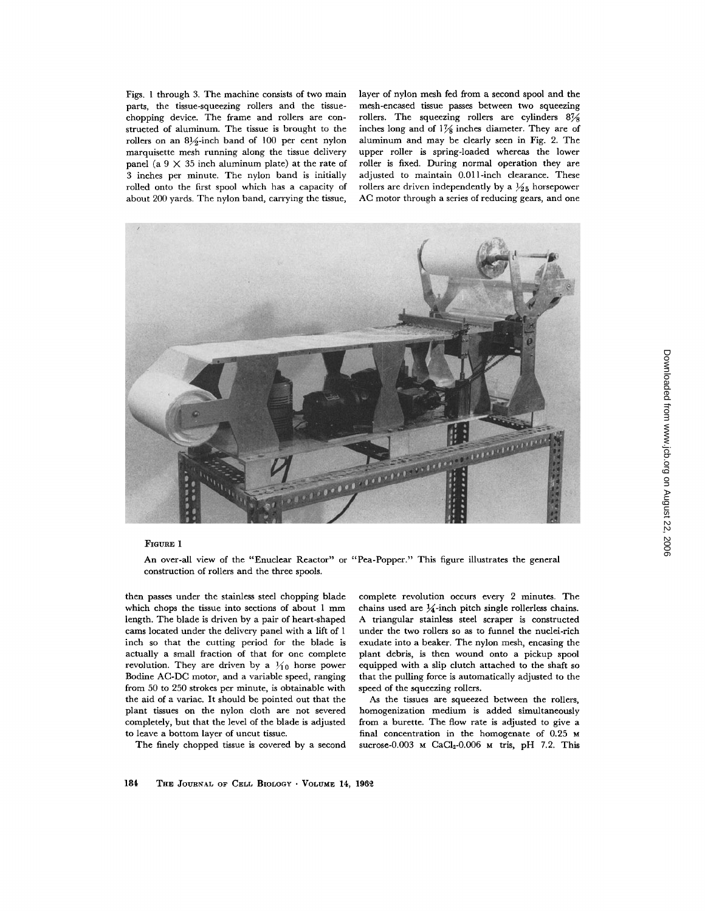Figs. 1 through 3. The machine consists of two main parts, the tissue-squeezing rollers and the tissuechopping device. The frame and rollers are constructed of aluminum. The tissue is brought to the rollers on an  $8\frac{1}{2}$ -inch band of 100 per cent nylon marquisette mesh running along the tissue delivery panel (a  $9 \times 35$  inch aluminum plate) at the rate of 3 inches per minute. The nylon band is initially rolled onto the first spool which has a capacity of about 200 yards. The nylon band, carrying the tissue,

layer of nylon mesh fed from a second spool and the mesh-encased tissue passes between two squeezing rollers. The squeezing rollers are cylinders 87/8 inches long and of  $1\frac{7}{8}$  inches diameter. They are of aluminum and may be clearly seen in Fig. 2. The upper roller is spring-loaded whereas the lower roller is fixed. During normal operation they are adjusted to maintain 0.011-inch clearance. These rollers are driven independently by a  $\frac{1}{2}$ <sub>5</sub> horsepower AC motor through a series of reducing gears, and one



#### FIGURE 1

An over-all view of the "Enuclear Reactor" or "Pea-Popper." This figure illustrates the general construction of rollers and the three spools.

then passes under the stainless steel chopping blade which chops the tissue into sections of about 1 mm length. The blade is driven by a pair of heart-shaped cams located under the delivery panel with a lift of 1 inch so that the cutting period for the blade is actually a small fraction of that for one complete revolution. They are driven by a  $\frac{1}{10}$  horse power Bodine AC-DC motor, and a variable speed, ranging from 50 to 250 strokes per minute, is obtainable with the aid of a variac. It should be pointed out that the plant tissues on the nylon cloth are not severed completely, but that the level of the blade is adjusted to leave a bottom layer of uncut tissue.

The finely chopped tissue is covered by a second

complete revolution occurs every 2 minutes. The chains used are  $\frac{1}{4}$ -inch pitch single rollerless chains. A triangular stainless steel scraper is constructed under the two rollers so as to funnel the nuclei-rich exudate into a beaker. The nylon mesh, encasing the plant debris, is then wound onto a pickup spool equipped with a slip clutch attached to the shaft so that the pulling force is automatically adjusted to the speed of the squeezing rollers.

As the tissues are squeezed between the rollers, homogenization medium is added simultaneously from a burette. The flow rate is adjusted to give a final concentration in the homogenate of 0.25 M sucrose-0.003 м CaCl<sub>2</sub>-0.006 м tris, pH 7.2. This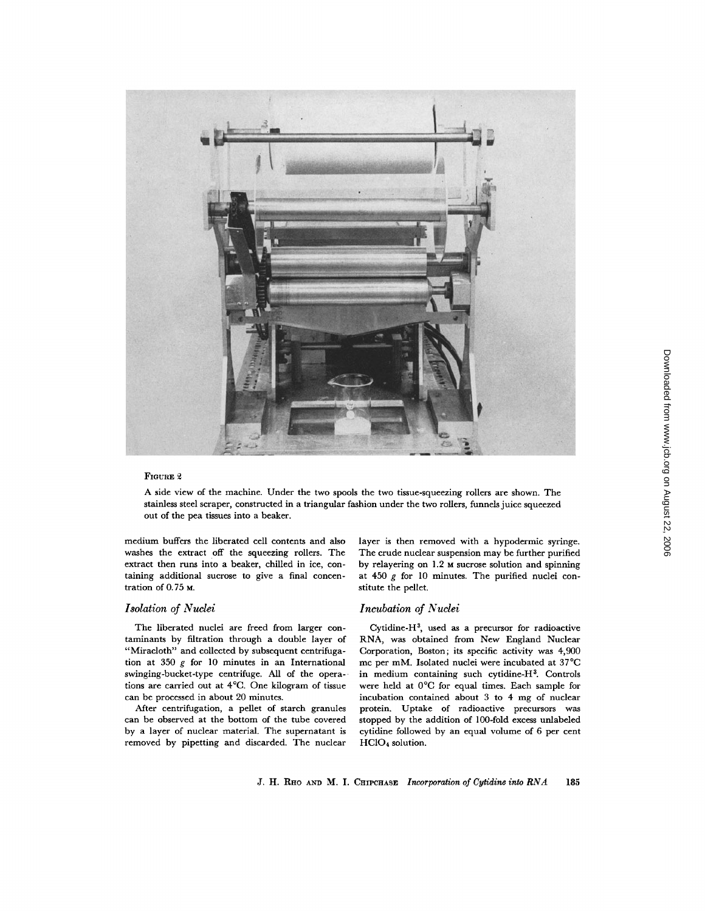

#### FIGURE 2

A side view of the machine. Under the two spools the two tissue-squeezing rollers are shown. The stainless steel scraper, constructed in a triangular fashion under the two rollers, funnels juice squeezed out of the pea tissues into a beaker.

medium buffers the liberated cell contents and also washes the extract off the squeezing rollers. The extract then runs into a beaker, chilled in ice, containing additional sucrose to give a final concentration of 0.75 M.

## *Isolation of Nuclei*

The liberated nuclei are freed from larger contaminants by filtration through a double layer of "Miracloth" and collected by subsequent centrifugation at 350  $g$  for 10 minutes in an International swinging-bucket-type centrifuge. All of the operations are carried out at 4°C. One kilogram of tissue can be processed in about 20 minutes.

After centrifugation, a pellet of starch granules can be observed at the bottom of the tube covered by a layer of nuclear material. The supernatant is removed by pipetting and discarded. The nuclear

layer is then removed with a hypodermic syringe. The crude nuclear suspension may be further purified by relayering on 1.2 M sucrose solution and spinning at 450 g for 10 minutes. The purified nuclei constitute the pellet.

## *Incubation of Nuclei*

Cytidine-H<sup>3</sup>, used as a precursor for radioactive RNA, was obtained from New England Nuclear Corporation, Boston; its specific activity was 4,900 me per raM. Isolated nuclei were incubated at 37°C in medium containing such cytidine-H<sup>3</sup>. Controls were held at 0°C for equal times. Each sample for incubation contained about 3 to 4 mg of nuclear protein. Uptake of radioactive precursors was stopped by the addition of 100-fold excess unlabeled cytidine followed by an equal volume of 6 per cent HC104 solution.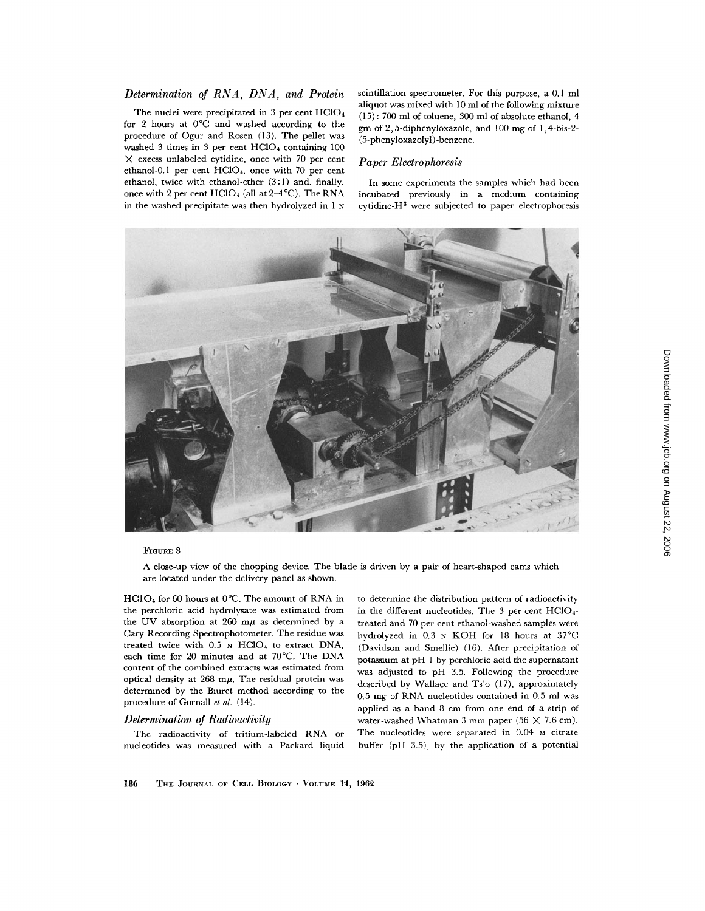# *Determination of RNA, DNA, and Protein*

The nuclei were precipitated in 3 per cent HCIO4 for 2 hours at 0°C and washed according to the procedure of Ogur and Rosen (13). The pellet was washed 3 times in 3 per cent HC104 containing 100  $\times$  excess unlabeled cytidine, once with 70 per cent ethanol-0.1 per cent HCIO4, once with 70 per cent ethanol, twice with ethanol-ether (3:1) and, finally, once with 2 per cent  $HClO<sub>4</sub>$  (all at  $2-4^{\circ}C$ ). The RNA in the washed precipitate was then hydrolyzed in 1 N scintillation spectrometer. For this purpose, a 0.1 ml aliquot was mixed with 10 ml of the following mixture (15): 700 ml of toluene, 300 ml of absolute ethanol, 4 gm of 2,5-diphenyloxazole, and 100 mg of 1,4-bis-2- (5-phenyloxazolyl) -benzene.

## *Paper Eleetrophoresis*

In some experiments the samples which had been incubated previously in a medium containing cytidine- $H<sup>3</sup>$  were subjected to paper electrophoresis



## FIGURE 3

A close-up view of the chopping device. The blade is driven by a pair of heart-shaped cams which are located under the delivery panel as shown.

 $HClO<sub>4</sub>$  for 60 hours at 0°C. The amount of RNA in the perchloric acid hydrolysate was estimated from the UV absorption at 260 m $\mu$  as determined by a Cary Recording Spectrophotometer. The residue was treated twice with  $0.5$  N HClO<sub>4</sub> to extract DNA, each time for 20 minutes and at 70°C. The DNA content of the combined extracts was estimated from optical density at  $268$  m $\mu$ . The residual protein was determined by the Biuret method according to the procedure of Gornall *et al.* (14).

## *Determination of Radioactivity*

The radioactivity of tritium-labeled RNA or nucleotides was measured with a Packard liquid to determine the distribution pattern of radioactivity in the different nucleotides. The 3 per cent HC104 treated and 70 per cent ethanol-washed samples were hydrolyzed in 0.3 N KOH for 18 hours at 37°C (Davidson and Smellie) (16). After precipitation of potassium at pH 1 by perchloric acid the supernatant was adjusted to pH 3.5. Following the procedure described by Wallace and Ts'o (17), approximately 0.5 mg of RNA nueleotides contained in 0.5 ml was applied as a band 8 cm from one end of a strip of water-washed Whatman 3 mm paper (56  $\times$  7.6 cm). The nucleotides were separated in 0.04 M citrate buffer (pH 3.5), by the application of a potential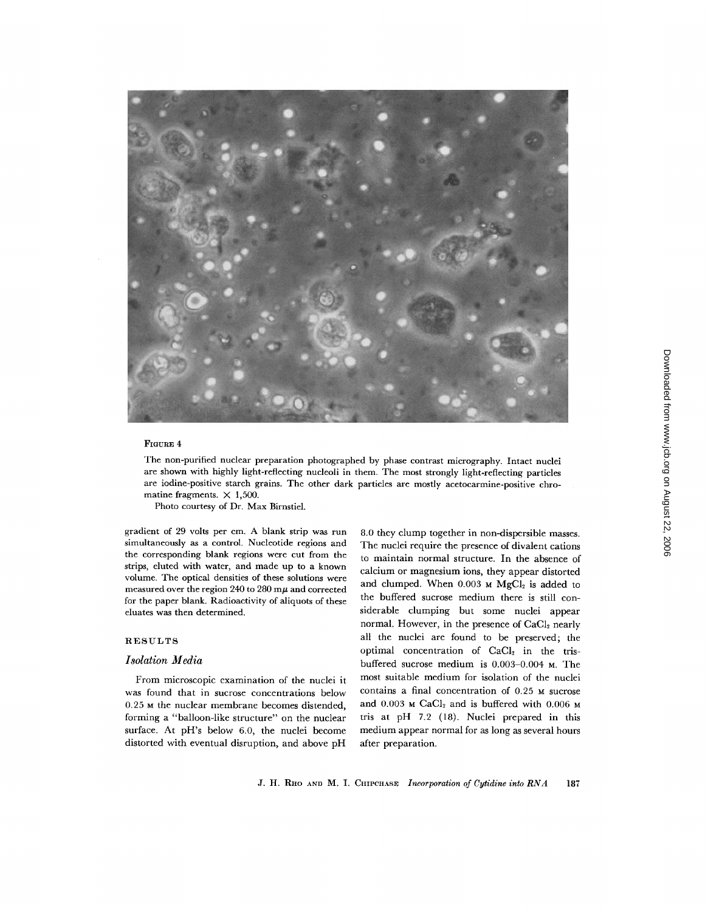

#### **FIGURE 4**

The non-purified nuclear preparation photographed by phase contrast micrography. Intact nuclei are shown with highly light-reflecting nucleoli in them. The most strongly light-reflecting particles are iodine-positive starch grains. The other dark particles are mostly acetocarmine-positive chromatine fragments.  $\times$  1,500.

Photo courtesy of Dr. Max Birnstiel.

gradient of 29 volts per cm. A blank strip was run simultaneously as a control. Nucleotide regions and the corresponding blank regions were cut from the strips, eluted with water, and made up to a known volume. The optical densities of these solutions were measured over the region 240 to 280 m $\mu$  and corrected for the paper blank. Radioactivity of aliquots of these eluates was then determined.

## RESULTS

## *Isolation Media*

From microscopic examination of the nuclei it was found that in sucrose concentrations below 0.25 M the nuclear membrane becomes distended, forming a "balloon-like structure" on the nuclear surface. At pH's below 6.0, the nuclei become distorted with eventual disruption, and above pH

8.0 they clump together in non-dispersible masses. The nuclei require the presence of divalent cations to maintain normal structure. In the absence of calcium or magnesium ions, they appear distorted and clumped. When  $0.003$  M  $MgCl<sub>2</sub>$  is added to the buffered sucrose medium there is still considerable clumping but some nuclei appear normal. However, in the presence of CaCl<sub>2</sub> nearly all the nuclei are found to be preserved; the optimal concentration of CaCl<sub>2</sub> in the trisbuffered sucrose medium is 0.003-0.004 M. The most suitable medium for isolation of the nuclei contains a final concentration of 0.25 M sucrose and  $0.003$  M CaCl<sub>2</sub> and is buffered with  $0.006$  M tris at pH 7.2 (18). Nuclei prepared in this medium appear normal for as long as several hours after preparation.

J. H. RIto AND M. I. CHIPCHASE *Incorporation of Cytidine into RNA* 187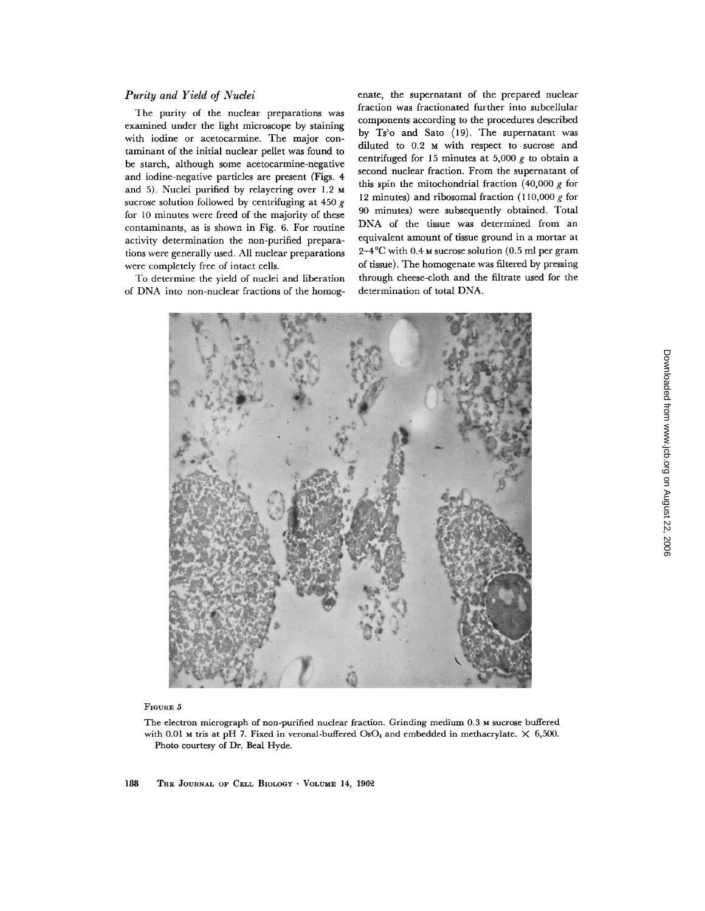# *Purity and Yield of Nuclei*

The purity of the nuclear preparations was examined under the light microscope by staining with iodine or acetocarmine. The major contaminant of the initial nuclear pellet was found to be starch, although some acetocarmine-negative and iodine-negative particles are present (Figs. 4 and 5). Nuclei purified by relayering over 1.2 M sucrose solution followed by centrifuging at 450 g for 10 minutes were freed of the majority of these contaminants, as is shown in Fig. 6. For routine activity determination the non-purified preparations were generally used. All nuclear preparations were completely free of intact cells.

To determine the yield of nuclei and liberation of DNA into non-nuclear fractions of the homogenate, the supernatant of the prepared nuclear fraction was fractionated further into subcellular components according to the procedures described by Ts'o and Sato (19). The supernatant was diluted to 0.2 M with respect to sucrose and centrifuged for 15 minutes at 5,000  $g$  to obtain a second nuclear fraction. From the supernatant of this spin the mitochondrial fraction  $(40,000 \ g$  for 12 minutes) and ribosomal fraction  $(110,000 g)$  for 90 minutes) were subsequently obtained. Total DNA of the tissue was determined from an equivalent amount of tissue ground in a mortar at  $2-4$ °C with 0.4 M sucrose solution (0.5 ml per gram of tissue). The homogenate was filtered by pressing through cheese-cloth and the filtrate used for the determination of total DNA.



FIGURE 5

The electron micrograph of non-purified nuclear fraction. Grinding medium 0.3 M sucrose buffered with 0.01 M tris at pH 7. Fixed in veronal-buffered OsO<sub>4</sub> and embedded in methacrylate.  $\times$  6,500. Photo courtesy of Dr. Beal Hyde.

188 THE JOURNAL OF CELL BIOLOGY · VOLUME 14, 1962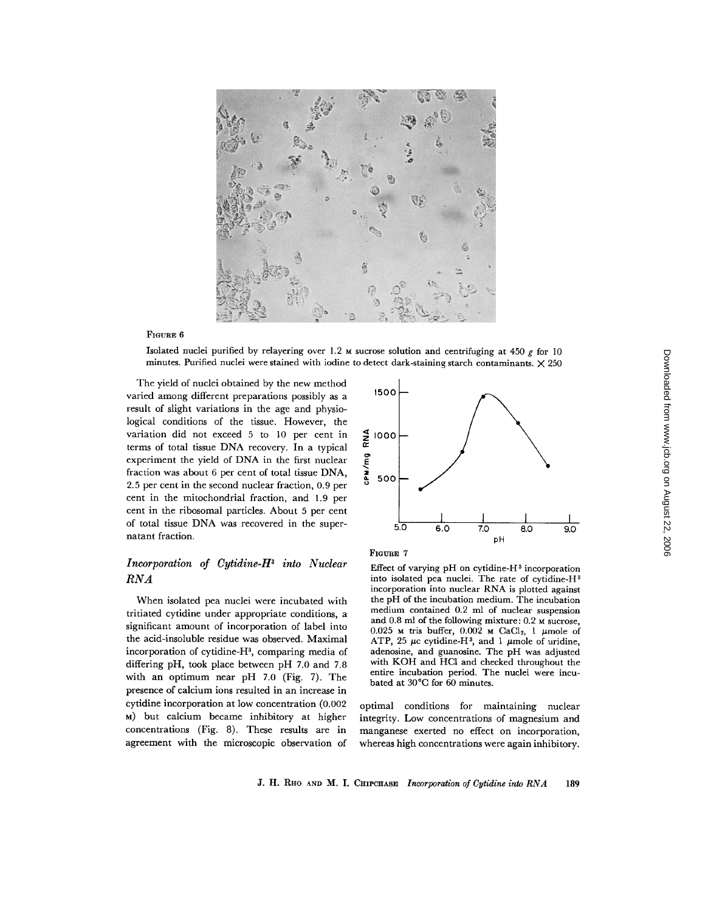

## FIOURE 6

Isolated nuclei purified by relayering over 1.2 M sucrose solution and centrifuging at 450  $g$  for 10 minutes. Purified nuclei were stained with iodine to detect dark-staining starch contaminants.  $\times$  250

The yield of nuclei obtained by the new method varied among different preparations possibly as a result of slight variations in the age and physiological conditions of the tissue. However, the variation did not exceed 5 to 10 per cent in terms of total tissue DNA recovery. In a typical experiment the yield of DNA in the first nuclear fraction was about 6 per cent of total tissue DNA, 2.5 per cent in the second nuclear fraction, 0.9 per cent in the mitochondrial fraction, and 1.9 per cent in the ribosomal particles. About 5 per cent of total tissue DNA was recovered in the supernatant fraction.

# *Incorporation of Cytidine-H s into Nuclear RNA*

When isolated pea nuclei were incubated with tritiated cytidine under appropriate conditions, a significant amount of incorporation of label into the acid-insoluble residue was observed. Maximal incorporation of cytidine-H<sup>3</sup>, comparing media of differing pH, took place between pH 7.0 and 7.8 with an optimum near pH 7.0 (Fig. 7). The presence of calcium ions resulted in an increase in cytidine incorporation at low concentration (0.002 ~) but calcium became inhibitory at higher concentrations (Fig. 8). These results are in agreement with the microscopic observation of





Effect of varying pH on cytidine- $H^3$  incorporation into isolated pea nuclei. The rate of cytidine-H3 incorporation into nuclear RNA is plotted against the pH of the incubation medium. The incubation medium contained 0.2 ml of nuclear suspension and 0.8 ml of the following mixture: 0.2 M sucrose, 0.025 M tris buffer, 0.002 M CaCl<sub>2</sub>, 1  $\mu$ mole of ATP, 25  $\mu$ c cytidine-H<sup>3</sup>, and 1  $\mu$ mole of uridine, adenosine, and guanosine. The pH was adjusted with KOH and HCI and checked throughout the entire incubation period. The nuclei were incubated at  $30^{\circ}$ C for 60 minutes.

optimal conditions for maintaining nuclear integrity. Low concentrations of magnesium and manganese exerted no effect on incorporation, whereas high concentrations were again inhibitory.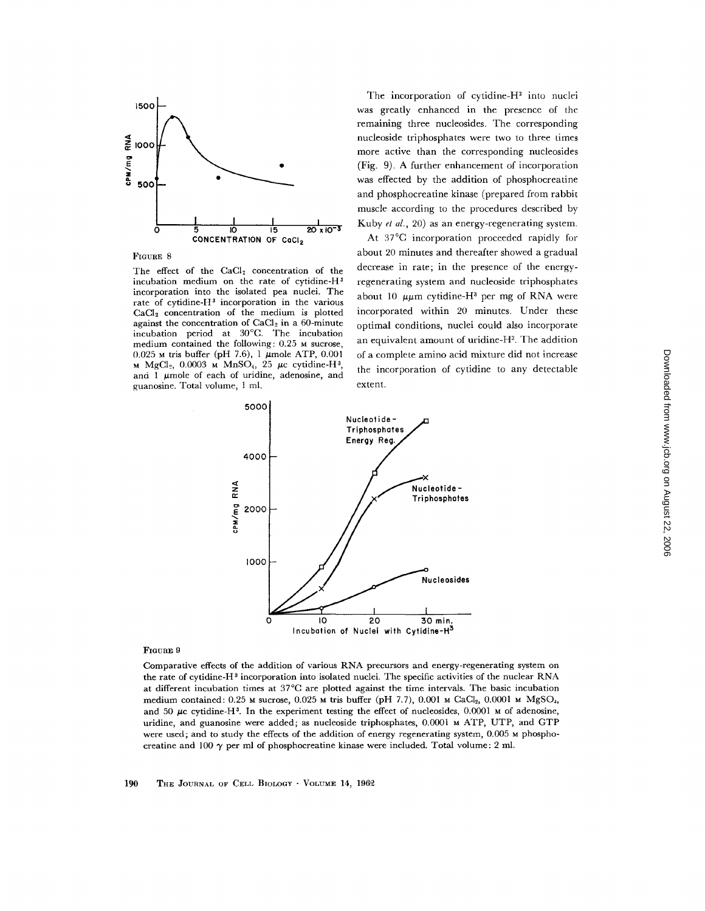

FIGURE 8

The effect of the CaCl<sub>2</sub> concentration of the incubation medium on the rate of cytidine- $H<sup>3</sup>$ incorporation into the isolated pea nuclei. The rate of cytidine- $H<sup>3</sup>$  incorporation in the various CaCI2 concentration of the medium is plotted against the concentration of CaCl<sub>2</sub> in a 60-minute incubation period at 30°C. The incubation medium contained the following: 0.25 M sucrose,  $0.025$  M tris buffer (pH 7.6), 1  $\mu$ mole ATP, 0.001 M MgCl<sub>2</sub>, 0.0003 M MnSO<sub>4</sub>, 25  $\mu$ c cytidine-H<sup>3</sup> and 1  $\mu$ mole of each of uridine, adenosine, and guanosine. Total volume, 1 ml.

The incorporation of cytidine- $H<sup>3</sup>$  into nuclei was greatly enhanced in the presence of the remaining three nucleosides. The corresponding nucleoside triphosphates were two to three times more active than the corresponding nucleosides (Fig. 9). A further enhancement of incorporation was effected by the addition of phosphocreatine and phosphocreatine kinase (prepared from rabbit muscle according to the procedures described by Kuby *et al.,* 20) as an energy-regenerating system.

At 37°C incorporation proceeded rapidly for about 20 minutes and thereafter showed a gradual decrease in rate; in the presence of the energyregenerating system and nucleoside triphosphates about 10  $\mu\mu$ m cytidine-H<sup>3</sup> per mg of RNA were incorporated within 20 minutes. Under these optimal conditions, nuclei could also incorporate an equivalent amount of uridine-H<sup>3</sup>. The addition of a complete amino acid mixture did not increase the incorporation of cytidine to any detectable extent.



#### FIGURE 9

Comparative effects of the addition of various RNA precursors and energy-regenerating system on the rate of cytidine-H<sup>3</sup> incorporation into isolated nuclei. The specific activities of the nuclear RNA at different incubation times at 37°C are plotted against the time intervals. The basic incubation medium contained:  $0.25$  M sucrose,  $0.025$  M tris buffer (pH 7.7),  $0.001$  M CaCl<sub>2</sub>,  $0.0001$  M MgSO<sub>4</sub>, and 50  $\mu$ c cytidine-H<sup>3</sup>. In the experiment testing the effect of nucleosides, 0.0001  $\mu$  of adenosine, uridine, and guanosine were added; as nucleoside triphosphates, 0.0001 M ATP, UTP, and GTP were used; and to study the effects of the addition of energy regenerating system, 0.005 M phosphocreatine and 100  $\gamma$  per ml of phosphocreatine kinase were included. Total volume: 2 ml.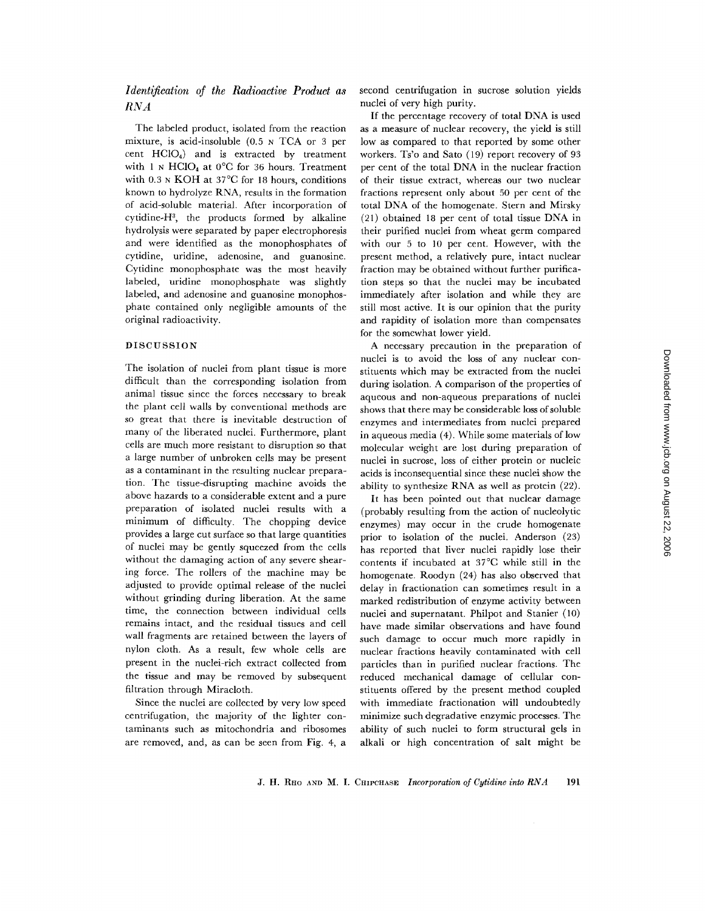# *Identification of the Radioactive Product as RNA*

The labeled product, isolated from the reaction mixture, is acid-insoluble (0.5 N TCA or 3 per cent HC104) and is extracted by treatment with 1 N HClO<sub>4</sub> at 0°C for 36 hours. Treatment with 0.3 <sub>N</sub> KOH at 37<sup>°</sup>C for 18 hours, conditions known to hydrolyze RNA, results in the formation of acid-soluble material. After incorporation of cytidine- $H^3$ , the products formed by alkaline hydrolysis were separated by paper electrophoresis and were identified as the monophosphates of cytidine, uridine, adenosine, and guanosine. Cytidine monophosphate was the most heavily labeled, uridine monophosphate was slightly labeled, and adenosine and guanosine monophosphate contained only negligible amounts of the original radioactivity.

#### DISCUSSION

The isolation of nuclei from plant tissue is more difficult than the corresponding isolation from animal tissue since the forces necessary to break the plant cell walls by conventional methods are so great that there is inevitable destruction of many of the liberated nuclei. Furthermore, plant cells are much more resistant to disruption so that a large number of unbroken cells may be present as a contaminant in the resulting nuclear preparation. The tissue-disrupting machine avoids the above hazards to a considerable extent and a pure preparation of isolated nuclei results with a minimum of difficulty. The chopping device provides a large cut surface so that large quantities of nuclei may be gently squeezed from the cells without the damaging action of any severe shearing force. The rollers of the machine may be adjusted to provide optimal release of the nuclei without grinding during liberation. At the same time, the connection between individual cells remains intact, and the residual tissues and cell wall fragments are retained between the layers of nylon cloth. As a result, few whole cells are present in the nuclei-rich extract collected from the tissue and may be removed by subsequent filtration through Miracloth.

Since the nuclei are collected by very low speed centrifugation, the majority of the lighter contaminants such as mitochondria and ribosomes are removed, and, as can be seen from Fig. 4, a

second centrifugation in sucrose solution yields nuclei of very high purity.

If the percentage recovery of total DNA is used as a measure of nuclear recovery, the yield is still low as compared to that reported by some other workers. Ts'o and Sato (19) report recovery of 93 per cent of the total DNA in the nuclear fraction of their tissue extract, whereas our two nuclear fractions represent only about 50 per cent of the total DNA of the homogenate. Stern and Mirsky (21) obtained 18 per cent of total tissue DNA in their purified nuclei from wheat germ compared with our 5 to 10 per cent. However, with the present method, a relatively pure, intact nuclear fraction may be obtained without further purification steps so that the nuclei may be incubated immediately after isolation and while they are still most active. It is our opinion that the purity and rapidity of isolation more than compensates for the somewhat lower yield.

A necessary precaution in the preparation of nuclei is to avoid the loss of any nuclear constituents which may be extracted from the nuclei during isolation. A comparison of the properties of aqueous and non-aqueous preparations of nuclei shows that there may be considerable loss of soluble enzymes and intermediates from nuclei prepared in aqueous media (4). While some materials of low molecular weight are lost during preparation of nuclei in sucrose, loss of either protein or nucleic acids is inconsequential since these nuclei show the ability to synthesize RNA as well as protein (22).

It has been pointed out that nuclear damage (probably resulting from the action of nucleolytic enzymes) may occur in the crude homogenate prior to isolation of the nuclei. Anderson (23) has reported that liver nuclei rapidly lose their contents if incubated at 37°C while still in the homogenate. Roodyn (24) has also observed that delay in fractionation can sometimes result in a marked redistribution of enzyme activity between nuclei and supernatant. Philpot and Stanier (10) have made similar observations and have found such damage to occur much more rapidly in nuclear fractions heavily contaminated with cell particles than in purified nuclear fractions. The reduced mechanical damage of cellular constituents offered by the present method coupled with immediate fractionation will undoubtedly minimize such degradative enzymic processes. The ability of such nuclei to form structural gels in alkali or high concentration of salt might be

J. H. RHO AND M. I. CHIPCHASE *Incorporation of Cytidine into RNA* 191